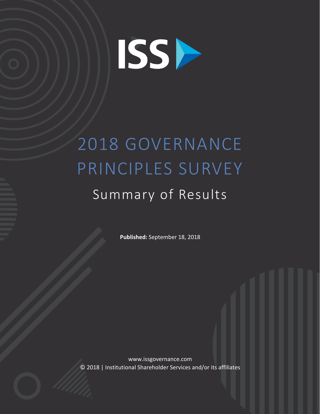

# 2018 GOVERNANCE PRINCIPLES SURVEY

## Summary of Results

Published: September 18, 2018

www.issgovernance.com © 2018 | Institutional Shareholder Services and/or its affiliates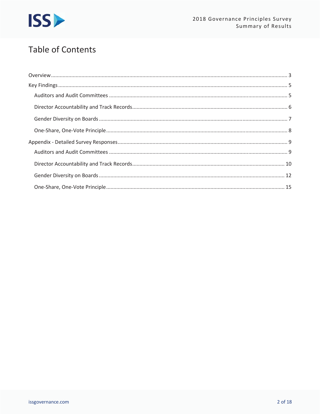

## **Table of Contents**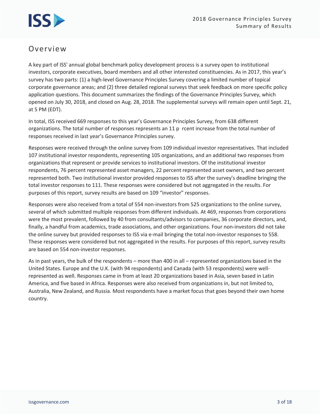

### Overview

A key part of ISS' annual global benchmark policy development process is a survey open to institutional investors, corporate executives, board members and all other interested constituencies. As in 2017, this year's survey has two parts: (1) a high-level Governance Principles Survey covering a limited number of topical corporate governance areas; and (2) three detailed regional surveys that seek feedback on more specific policy application questions. This document summarizes the findings of the Governance Principles Survey, which opened on July 30, 2018, and closed on Aug. 28, 2018. The supplemental surveys will remain open until Sept. 21, at 5 PM (EDT).

In total, ISS received 669 responses to this year's Governance Principles Survey, from 638 different organizations. The total number of responses represents an 11 p rcent increase from the total number of responses received in last year's Governance Principles survey.

Responses were received through the online survey from 109 individual investor representatives. That included 107 institutional investor respondents, representing 105 organizations, and an additional two responses from organizations that represent or provide services to institutional investors. Of the institutional investor respondents, 76 percent represented asset managers, 22 percent represented asset owners, and two percent represented both. Two institutional investor provided responses to ISS after the survey's deadline bringing the total investor responses to 111. These responses were considered but not aggregated in the results. For purposes of this report, survey results are based on 109 "investor" responses.

Responses were also received from a total of 554 non-investors from 525 organizations to the online survey, several of which submitted multiple responses from different individuals. At 469, responses from corporations were the most prevalent, followed by 40 from consultants/advisors to companies, 36 corporate directors, and, finally, a handful from academics, trade associations, and other organizations. Four non-investors did not take the online survey but provided responses to ISS via e-mail bringing the total non-investor responses to 558. These responses were considered but not aggregated in the results. For purposes of this report, survey results are based on 554 non-investor responses.

As in past years, the bulk of the respondents - more than 400 in all - represented organizations based in the United States. Europe and the U.K. (with 94 respondents) and Canada (with 53 respondents) were wellrepresented as well. Responses came in from at least 20 organizations based in Asia, seven based in Latin America, and five based in Africa. Responses were also received from organizations in, but not limited to, Australia, New Zealand, and Russia. Most respondents have a market focus that goes beyond their own home country.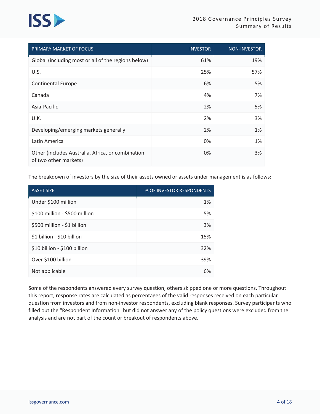## **ISS**

| PRIMARY MARKET OF FOCUS                                                    | <b>INVESTOR</b> | <b>NON-INVESTOR</b> |
|----------------------------------------------------------------------------|-----------------|---------------------|
| Global (including most or all of the regions below)                        | 61%             | 19%                 |
| U.S.                                                                       | 25%             | 57%                 |
| <b>Continental Europe</b>                                                  | 6%              | 5%                  |
| Canada                                                                     | 4%              | 7%                  |
| Asia-Pacific                                                               | 2%              | 5%                  |
| U.K.                                                                       | 2%              | 3%                  |
| Developing/emerging markets generally                                      | 2%              | 1%                  |
| Latin America                                                              | 0%              | 1%                  |
| Other (includes Australia, Africa, or combination<br>of two other markets) | 0%              | 3%                  |

The breakdown of investors by the size of their assets owned or assets under management is as follows:

| <b>ASSET SIZE</b>             | % OF INVESTOR RESPONDENTS |
|-------------------------------|---------------------------|
| Under \$100 million           | 1%                        |
| \$100 million - \$500 million | 5%                        |
| \$500 million - \$1 billion   | 3%                        |
| \$1 billion - \$10 billion    | 15%                       |
| \$10 billion - \$100 billion  | 32%                       |
| Over \$100 billion            | 39%                       |
| Not applicable                | 6%                        |

Some of the respondents answered every survey question; others skipped one or more questions. Throughout this report, response rates are calculated as percentages of the valid responses received on each particular question from investors and from non-investor respondents, excluding blank responses. Survey participants who filled out the "Respondent Information" but did not answer any of the policy questions were excluded from the analysis and are not part of the count or breakout of respondents above.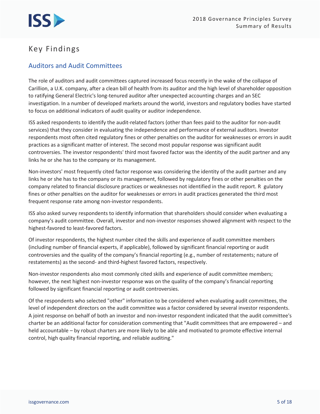## **Key Findings**

#### **Auditors and Audit Committees**

The role of auditors and audit committees captured increased focus recently in the wake of the collapse of Carillion, a U.K. company, after a clean bill of health from its auditor and the high level of shareholder opposition to ratifying General Electric's long-tenured auditor after unexpected accounting charges and an SEC investigation. In a number of developed markets around the world, investors and regulatory bodies have started to focus on additional indicators of audit quality or auditor independence.

ISS asked respondents to identify the audit-related factors (other than fees paid to the auditor for non-audit services) that they consider in evaluating the independence and performance of external auditors. Investor respondents most often cited regulatory fines or other penalties on the auditor for weaknesses or errors in audit practices as a significant matter of interest. The second most popular response was significant audit controversies. The investor respondents' third most favored factor was the identity of the audit partner and any links he or she has to the company or its management.

Non-investors' most frequently cited factor response was considering the identity of the audit partner and any links he or she has to the company or its management, followed by regulatory fines or other penalties on the company related to financial disclosure practices or weaknesses not identified in the audit report. R gulatory fines or other penalties on the auditor for weaknesses or errors in audit practices generated the third most frequent response rate among non-investor respondents.

ISS also asked survey respondents to identify information that shareholders should consider when evaluating a company's audit committee. Overall, investor and non-investor responses showed alignment with respect to the highest-favored to least-favored factors.

Of investor respondents, the highest number cited the skills and experience of audit committee members (including number of financial experts, if applicable), followed by significant financial reporting or audit controversies and the quality of the company's financial reporting (e.g., number of restatements; nature of restatements) as the second- and third-highest favored factors, respectively.

Non-investor respondents also most commonly cited skills and experience of audit committee members; however, the next highest non-investor response was on the quality of the company's financial reporting followed by significant financial reporting or audit controversies.

Of the respondents who selected "other" information to be considered when evaluating audit committees, the level of independent directors on the audit committee was a factor considered by several investor respondents. A joint response on behalf of both an investor and non-investor respondent indicated that the audit committee's charter be an additional factor for consideration commenting that "Audit committees that are empowered - and held accountable - by robust charters are more likely to be able and motivated to promote effective internal control, high quality financial reporting, and reliable auditing."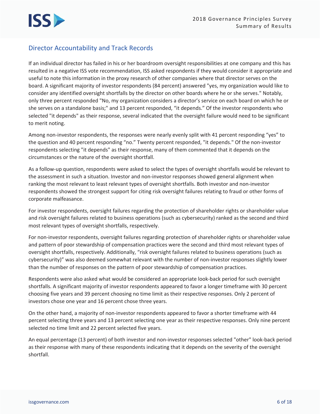#### **Director Accountability and Track Records**

If an individual director has failed in his or her boardroom oversight responsibilities at one company and this has resulted in a negative ISS vote recommendation, ISS asked respondents if they would consider it appropriate and useful to note this information in the proxy research of other companies where that director serves on the board. A significant majority of investor respondents (84 percent) answered "yes, my organization would like to consider any identified oversight shortfalls by the director on other boards where he or she serves." Notably, only three percent responded "No, my organization considers a director's service on each board on which he or she serves on a standalone basis;" and 13 percent responded, "it depends." Of the investor respondents who selected "it depends" as their response, several indicated that the oversight failure would need to be significant to merit noting.

Among non-investor respondents, the responses were nearly evenly split with 41 percent responding "yes" to the question and 40 percent responding "no." Twenty percent responded, "it depends." Of the non-investor respondents selecting "it depends" as their response, many of them commented that it depends on the circumstances or the nature of the oversight shortfall.

As a follow-up question, respondents were asked to select the types of oversight shortfalls would be relevant to the assessment in such a situation. Investor and non-investor responses showed general alignment when ranking the most relevant to least relevant types of oversight shortfalls. Both investor and non-investor respondents showed the strongest support for citing risk oversight failures relating to fraud or other forms of corporate malfeasance.

For investor respondents, oversight failures regarding the protection of shareholder rights or shareholder value and risk oversight failures related to business operations (such as cybersecurity) ranked as the second and third most relevant types of oversight shortfalls, respectively.

For non-investor respondents, oversight failures regarding protection of shareholder rights or shareholder value and pattern of poor stewardship of compensation practices were the second and third most relevant types of oversight shortfalls, respectively. Additionally, "risk oversight failures related to business operations (such as cybersecurity)" was also deemed somewhat relevant with the number of non-investor responses slightly lower than the number of responses on the pattern of poor stewardship of compensation practices.

Respondents were also asked what would be considered an appropriate look-back period for such oversight shortfalls. A significant majority of investor respondents appeared to favor a longer timeframe with 30 percent choosing five years and 39 percent choosing no time limit as their respective responses. Only 2 percent of investors chose one year and 16 percent chose three years.

On the other hand, a majority of non-investor respondents appeared to favor a shorter timeframe with 44 percent selecting three years and 13 percent selecting one year as their respective responses. Only nine percent selected no time limit and 22 percent selected five years.

An equal percentage (13 percent) of both investor and non-investor responses selected "other" look-back period as their response with many of these respondents indicating that it depends on the severity of the oversight shortfall.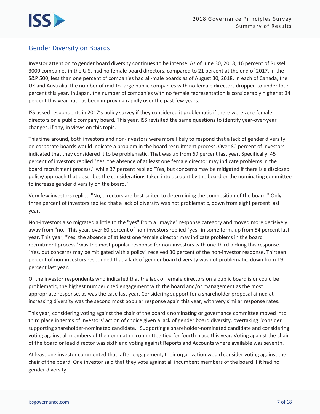#### **Gender Diversity on Boards**

Investor attention to gender board diversity continues to be intense. As of June 30, 2018, 16 percent of Russell 3000 companies in the U.S. had no female board directors, compared to 21 percent at the end of 2017. In the S&P 500, less than one percent of companies had all-male boards as of August 30, 2018. In each of Canada, the UK and Australia, the number of mid-to-large public companies with no female directors dropped to under four percent this year. In Japan, the number of companies with no female representation is considerably higher at 34 percent this year but has been improving rapidly over the past few years.

ISS asked respondents in 2017's policy survey if they considered it problematic if there were zero female directors on a public company board. This year, ISS revisited the same questions to identify year-over-year changes, if any, in views on this topic.

This time around, both investors and non-investors were more likely to respond that a lack of gender diversity on corporate boards would indicate a problem in the board recruitment process. Over 80 percent of investors indicated that they considered it to be problematic. That was up from 69 percent last year. Specifically, 45 percent of investors replied "Yes, the absence of at least one female director may indicate problems in the board recruitment process," while 37 percent replied "Yes, but concerns may be mitigated if there is a disclosed policy/approach that describes the considerations taken into account by the board or the nominating committee to increase gender diversity on the board."

Very few investors replied "No, directors are best-suited to determining the composition of the board." Only three percent of investors replied that a lack of diversity was not problematic, down from eight percent last year.

Non-investors also migrated a little to the "yes" from a "maybe" response category and moved more decisively away from "no." This year, over 60 percent of non-investors replied "yes" in some form, up from 54 percent last year. This year, "Yes, the absence of at least one female director may indicate problems in the board recruitment process" was the most popular response for non-investors with one-third picking this response. "Yes, but concerns may be mitigated with a policy" received 30 percent of the non-investor response. Thirteen percent of non-investors responded that a lack of gender board diversity was not problematic, down from 19 percent last year.

Of the investor respondents who indicated that the lack of female directors on a public board is or could be problematic, the highest number cited engagement with the board and/or management as the most appropriate response, as was the case last year. Considering support for a shareholder proposal aimed at increasing diversity was the second most popular response again this year, with very similar response rates.

This year, considering voting against the chair of the board's nominating or governance committee moved into third place in terms of investors' action of choice given a lack of gender board diversity, overtaking "consider supporting shareholder-nominated candidate." Supporting a shareholder-nominated candidate and considering voting against all members of the nominating committee tied for fourth place this year. Voting against the chair of the board or lead director was sixth and voting against Reports and Accounts where available was seventh.

At least one investor commented that, after engagement, their organization would consider voting against the chair of the board. One investor said that they vote against all incumbent members of the board if it had no gender diversity.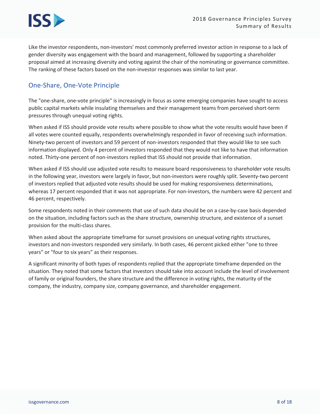

Like the investor respondents, non-investors' most commonly preferred investor action in response to a lack of gender diversity was engagement with the board and management, followed by supporting a shareholder proposal aimed at increasing diversity and voting against the chair of the nominating or governance committee. The ranking of these factors based on the non-investor responses was similar to last year.

#### One-Share, One-Vote Principle

The "one-share, one-vote principle" is increasingly in focus as some emerging companies have sought to access public capital markets while insulating themselves and their management teams from perceived short-term pressures through unequal voting rights.

When asked if ISS should provide vote results where possible to show what the vote results would have been if all votes were counted equally, respondents overwhelmingly responded in favor of receiving such information. Ninety-two percent of investors and 59 percent of non-investors responded that they would like to see such information displayed. Only 4 percent of investors responded that they would not like to have that information noted. Thirty-one percent of non-investors replied that ISS should not provide that information.

When asked if ISS should use adjusted vote results to measure board responsiveness to shareholder vote results in the following year, investors were largely in favor, but non-investors were roughly split. Seventy-two percent of investors replied that adjusted vote results should be used for making responsiveness determinations, whereas 17 percent responded that it was not appropriate. For non-investors, the numbers were 42 percent and 46 percent, respectively.

Some respondents noted in their comments that use of such data should be on a case-by-case basis depended on the situation, including factors such as the share structure, ownership structure, and existence of a sunset provision for the multi-class shares.

When asked about the appropriate timeframe for sunset provisions on unequal voting rights structures, investors and non-investors responded very similarly. In both cases, 46 percent picked either "one to three years" or "four to six years" as their responses.

A significant minority of both types of respondents replied that the appropriate timeframe depended on the situation. They noted that some factors that investors should take into account include the level of involvement of family or original founders, the share structure and the difference in voting rights, the maturity of the company, the industry, company size, company governance, and shareholder engagement.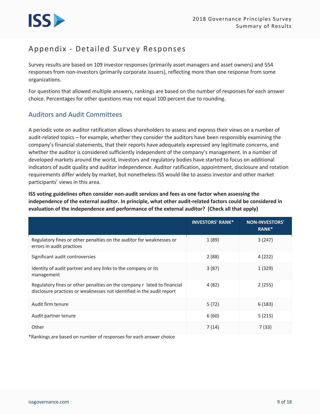

## Appendix - Detailed Survey Responses

Survey results are based on 109 investor responses (primarily asset managers and asset owners) and 554 responses from non-investors (primarily corporate issuers), reflecting more than one response from some organizations.

For questions that allowed multiple answers, rankings are based on the number of responses for each answer choice. Percentages for other questions may not equal 100 percent due to rounding.

#### **Auditors and Audit Committees**

A periodic vote on auditor ratification allows shareholders to assess and express their views on a number of audit-related topics - for example, whether they consider the auditors have been responsibly examining the company's financial statements, that their reports have adequately expressed any legitimate concerns, and whether the auditor is considered sufficiently independent of the company's management. In a number of developed markets around the world, investors and regulatory bodies have started to focus on additional indicators of audit quality and auditor independence. Auditor ratification, appointment, disclosure and rotation requirements differ widely by market, but nonetheless ISS would like to assess investor and other market participants' views in this area.

ISS voting guidelines often consider non-audit services and fees as one factor when assessing the independence of the external auditor. In principle, what other audit-related factors could be considered in evaluation of the independence and performance of the external auditor? (Check all that apply)

|                                                                                                                                                  | <b>INVESTORS' RANK*</b> | <b>NON-INVESTORS'</b><br>RANK* |
|--------------------------------------------------------------------------------------------------------------------------------------------------|-------------------------|--------------------------------|
| Regulatory fines or other penalties on the auditor for weaknesses or<br>errors in audit practices                                                | 1(89)                   | 3(247)                         |
| Significant audit controversies                                                                                                                  | 2(88)                   | 4(222)                         |
| Identity of audit partner and any links to the company or its<br>management                                                                      | 3(87)                   | 1 (329)                        |
| Regulatory fines or other penalties on the company r lated to financial<br>disclosure practices or weaknesses not identified in the audit report | 4(82)                   | 2(255)                         |
| Audit firm tenure                                                                                                                                | 5(72)                   | 6(183)                         |
| Audit partner tenure                                                                                                                             | 6(60)                   | 5(215)                         |
| Other                                                                                                                                            | 7(14)                   | 7 (33)                         |

\*Rankings are based on number of responses for each answer choice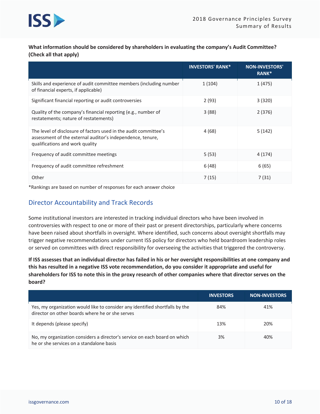

What information should be considered by shareholders in evaluating the company's Audit Committee? (Check all that apply)

|                                                                                                                                                                   | <b>INVESTORS' RANK*</b> | <b>NON-INVESTORS'</b><br>RANK <sup>*</sup> |
|-------------------------------------------------------------------------------------------------------------------------------------------------------------------|-------------------------|--------------------------------------------|
| Skills and experience of audit committee members (including number<br>of financial experts, if applicable)                                                        | 1 (104)                 | 1 (475)                                    |
| Significant financial reporting or audit controversies                                                                                                            | 2(93)                   | 3(320)                                     |
| Quality of the company's financial reporting (e.g., number of<br>restatements; nature of restatements)                                                            | 3(88)                   | 2(376)                                     |
| The level of disclosure of factors used in the audit committee's<br>assessment of the external auditor's independence, tenure,<br>qualifications and work quality | 4 (68)                  | 5(142)                                     |
| Frequency of audit committee meetings                                                                                                                             | 5(53)                   | 4 (174)                                    |
| Frequency of audit committee refreshment                                                                                                                          | 6(48)                   | 6(65)                                      |
| Other                                                                                                                                                             | 7(15)                   | 7(31)                                      |

\*Rankings are based on number of responses for each answer choice

#### **Director Accountability and Track Records**

Some institutional investors are interested in tracking individual directors who have been involved in controversies with respect to one or more of their past or present directorships, particularly where concerns have been raised about shortfalls in oversight. Where identified, such concerns about oversight shortfalls may trigger negative recommendations under current ISS policy for directors who held boardroom leadership roles or served on committees with direct responsibility for overseeing the activities that triggered the controversy.

If ISS assesses that an individual director has failed in his or her oversight responsibilities at one company and this has resulted in a negative ISS vote recommendation, do you consider it appropriate and useful for shareholders for ISS to note this in the proxy research of other companies where that director serves on the board?

|                                                                                                                                 | <b>INVESTORS</b> | <b>NON-INVESTORS</b> |
|---------------------------------------------------------------------------------------------------------------------------------|------------------|----------------------|
| Yes, my organization would like to consider any identified shortfalls by the<br>director on other boards where he or she serves | 84%              | 41%                  |
| It depends (please specify)                                                                                                     | 13%              | 20%                  |
| No, my organization considers a director's service on each board on which<br>he or she services on a standalone basis           | 3%               | 40%                  |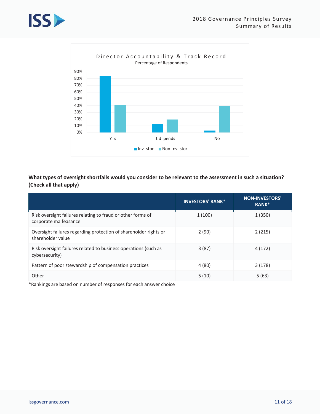



What types of oversight shortfalls would you consider to be relevant to the assessment in such a situation? (Check all that apply)

|                                                                                       | <b>INVESTORS' RANK*</b> | <b>NON-INVESTORS'</b><br>RANK* |
|---------------------------------------------------------------------------------------|-------------------------|--------------------------------|
| Risk oversight failures relating to fraud or other forms of<br>corporate malfeasance  | 1(100)                  | 1(350)                         |
| Oversight failures regarding protection of shareholder rights or<br>shareholder value | 2(90)                   | 2(215)                         |
| Risk oversight failures related to business operations (such as<br>cybersecurity)     | 3(87)                   | 4 (172)                        |
| Pattern of poor stewardship of compensation practices                                 | 4 (80)                  | 3(178)                         |
| Other                                                                                 | 5(10)                   | 5(63)                          |

\*Rankings are based on number of responses for each answer choice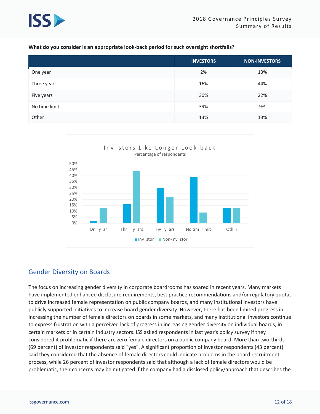

#### What do you consider is an appropriate look-back period for such oversight shortfalls?

|               | <b>INVESTORS</b> | NON-INVESTORS |
|---------------|------------------|---------------|
| One year      | 2%               | 13%           |
| Three years   | 16%              | 44%           |
| Five years    | 30%              | 22%           |
| No time limit | 39%              | 9%            |
| Other         | 13%              | 13%           |



#### **Gender Diversity on Boards**

The focus on increasing gender diversity in corporate boardrooms has soared in recent years. Many markets have implemented enhanced disclosure requirements, best practice recommendations and/or regulatory quotas to drive increased female representation on public company boards, and many institutional investors have publicly supported initiatives to increase board gender diversity. However, there has been limited progress in increasing the number of female directors on boards in some markets, and many institutional investors continue to express frustration with a perceived lack of progress in increasing gender diversity on individual boards, in certain markets or in certain industry sectors. ISS asked respondents in last year's policy survey if they considered it problematic if there are zero female directors on a public company board. More than two-thirds (69 percent) of investor respondents said "yes". A significant proportion of investor respondents (43 percent) said they considered that the absence of female directors could indicate problems in the board recruitment process, while 26 percent of investor respondents said that although a lack of female directors would be problematic, their concerns may be mitigated if the company had a disclosed policy/approach that describes the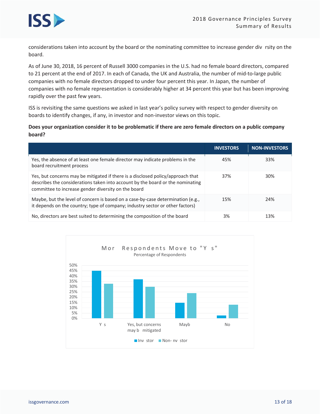

considerations taken into account by the board or the nominating committee to increase gender div rsity on the board.

As of June 30, 2018, 16 percent of Russell 3000 companies in the U.S. had no female board directors, compared to 21 percent at the end of 2017. In each of Canada, the UK and Australia, the number of mid-to-large public companies with no female directors dropped to under four percent this year. In Japan, the number of companies with no female representation is considerably higher at 34 percent this year but has been improving rapidly over the past few years.

ISS is revisiting the same questions we asked in last year's policy survey with respect to gender diversity on boards to identify changes, if any, in investor and non-investor views on this topic.

#### Does your organization consider it to be problematic if there are zero female directors on a public company board?

|                                                                                                                                                                                                                          | <b>INVESTORS</b> | <b>NON-INVESTORS</b> |
|--------------------------------------------------------------------------------------------------------------------------------------------------------------------------------------------------------------------------|------------------|----------------------|
| Yes, the absence of at least one female director may indicate problems in the<br>board recruitment process                                                                                                               | 45%              | 33%                  |
| Yes, but concerns may be mitigated if there is a disclosed policy/approach that<br>describes the considerations taken into account by the board or the nominating<br>committee to increase gender diversity on the board | 37%              | 30%                  |
| Maybe, but the level of concern is based on a case-by-case determination (e.g.,<br>it depends on the country; type of company; industry sector or other factors)                                                         | 15%              | 24%                  |
| No, directors are best suited to determining the composition of the board                                                                                                                                                | 3%               | 13%                  |

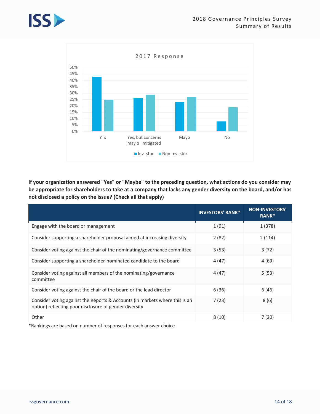



If your organization answered "Yes" or "Maybe" to the preceding question, what actions do you consider may be appropriate for shareholders to take at a company that lacks any gender diversity on the board, and/or has not disclosed a policy on the issue? (Check all that apply)

|                                                                                                                                       | <b>INVESTORS' RANK*</b> | <b>NON-INVESTORS'</b><br>RANK* |
|---------------------------------------------------------------------------------------------------------------------------------------|-------------------------|--------------------------------|
| Engage with the board or management                                                                                                   | 1(91)                   | 1(378)                         |
| Consider supporting a shareholder proposal aimed at increasing diversity                                                              | 2(82)                   | 2(114)                         |
| Consider voting against the chair of the nominating/governance committee                                                              | 3(53)                   | 3(72)                          |
| Consider supporting a shareholder-nominated candidate to the board                                                                    | 4 (47)                  | 4(69)                          |
| Consider voting against all members of the nominating/governance<br>committee                                                         | 4 (47)                  | 5(53)                          |
| Consider voting against the chair of the board or the lead director                                                                   | 6(36)                   | 6(46)                          |
| Consider voting against the Reports & Accounts (in markets where this is an<br>option) reflecting poor disclosure of gender diversity | 7(23)                   | 8(6)                           |
| Other                                                                                                                                 | 8(10)                   | 7 (20)                         |

\*Rankings are based on number of responses for each answer choice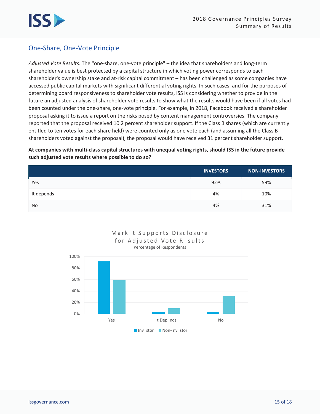

#### **One-Share, One-Vote Principle**

Adjusted Vote Results. The "one-share, one-vote principle" - the idea that shareholders and long-term shareholder value is best protected by a capital structure in which voting power corresponds to each shareholder's ownership stake and at-risk capital commitment – has been challenged as some companies have accessed public capital markets with significant differential voting rights. In such cases, and for the purposes of determining board responsiveness to shareholder vote results, ISS is considering whether to provide in the future an adjusted analysis of shareholder vote results to show what the results would have been if all votes had been counted under the one-share, one-vote principle. For example, in 2018, Facebook received a shareholder proposal asking it to issue a report on the risks posed by content management controversies. The company reported that the proposal received 10.2 percent shareholder support. If the Class B shares (which are currently entitled to ten votes for each share held) were counted only as one vote each (and assuming all the Class B shareholders voted against the proposal), the proposal would have received 31 percent shareholder support.

At companies with multi-class capital structures with unequal voting rights, should ISS in the future provide such adjusted vote results where possible to do so?

|            | <b>INVESTORS</b> | <b>NON-INVESTORS</b> |
|------------|------------------|----------------------|
| Yes        | 92%              | 59%                  |
| It depends | 4%               | 10%                  |
| No         | 4%               | 31%                  |

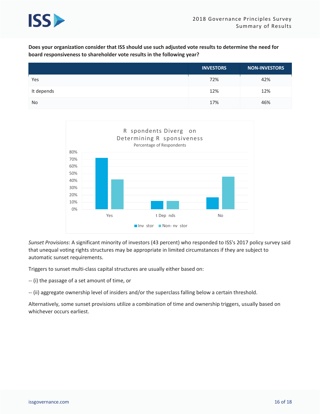

Does your organization consider that ISS should use such adjusted vote results to determine the need for board responsiveness to shareholder vote results in the following year?

|            | <b>INVESTORS</b> | <b>NON-INVESTORS</b> |
|------------|------------------|----------------------|
| Yes        | 72%              | 42%                  |
| It depends | 12%              | 12%                  |
| No         | 17%              | 46%                  |



Sunset Provisions: A significant minority of investors (43 percent) who responded to ISS's 2017 policy survey said that unequal voting rights structures may be appropriate in limited circumstances if they are subject to automatic sunset requirements.

Triggers to sunset multi-class capital structures are usually either based on:

-- (i) the passage of a set amount of time, or

-- (ii) aggregate ownership level of insiders and/or the superclass falling below a certain threshold.

Alternatively, some sunset provisions utilize a combination of time and ownership triggers, usually based on whichever occurs earliest.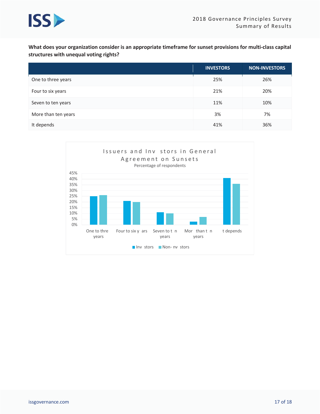

What does your organization consider is an appropriate timeframe for sunset provisions for multi-class capital structures with unequal voting rights?

|                     | <b>INVESTORS</b> | <b>NON-INVESTORS</b> |
|---------------------|------------------|----------------------|
| One to three years  | 25%              | 26%                  |
| Four to six years   | 21%              | 20%                  |
| Seven to ten years  | 11%              | 10%                  |
| More than ten years | 3%               | 7%                   |
| It depends          | 41%              | 36%                  |